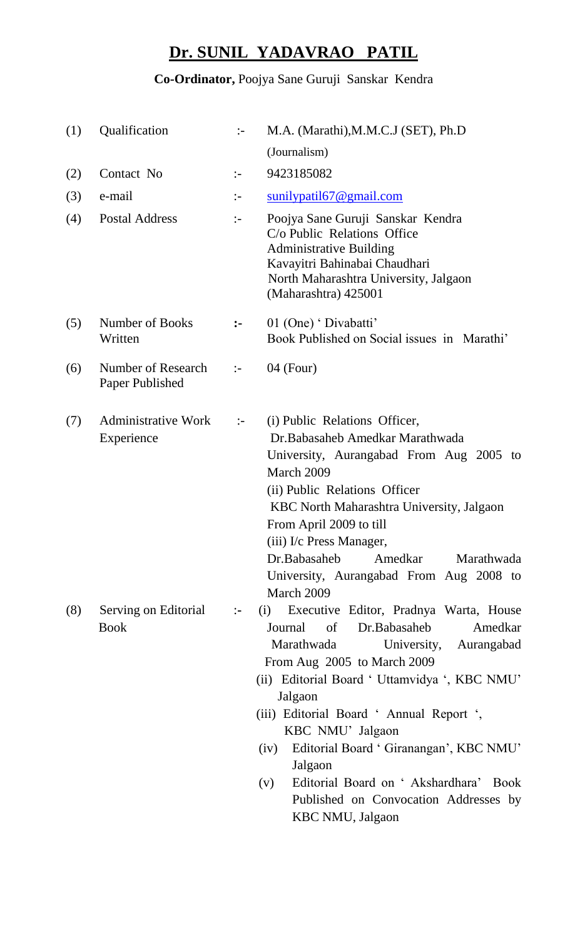## **Dr. SUNIL YADAVRAO PATIL**

## **Co-Ordinator,** Poojya Sane Guruji Sanskar Kendra

| (1) | Qualification                            | $:-$           | M.A. (Marathi), M.M.C.J (SET), Ph.D                                                                                                                                                                                                                                                                                                                                                                                                                                        |
|-----|------------------------------------------|----------------|----------------------------------------------------------------------------------------------------------------------------------------------------------------------------------------------------------------------------------------------------------------------------------------------------------------------------------------------------------------------------------------------------------------------------------------------------------------------------|
|     |                                          |                | (Journalism)                                                                                                                                                                                                                                                                                                                                                                                                                                                               |
| (2) | Contact No                               | $\mathbb{I}$   | 9423185082                                                                                                                                                                                                                                                                                                                                                                                                                                                                 |
| (3) | e-mail                                   | $\mathbb{I}^-$ | $\frac{\text{sunilypati167}}{2 \text{gmail.com}}$                                                                                                                                                                                                                                                                                                                                                                                                                          |
| (4) | <b>Postal Address</b>                    | $\mathbb{I}^-$ | Poojya Sane Guruji Sanskar Kendra<br>C/o Public Relations Office<br><b>Administrative Building</b><br>Kavayitri Bahinabai Chaudhari<br>North Maharashtra University, Jalgaon<br>(Maharashtra) 425001                                                                                                                                                                                                                                                                       |
| (5) | Number of Books<br>Written               | $\ddot{\cdot}$ | 01 (One) ' Divabatti'<br>Book Published on Social issues in Marathi'                                                                                                                                                                                                                                                                                                                                                                                                       |
| (6) | Number of Research<br>Paper Published    | $\mathbb{I}$   | $04$ (Four)                                                                                                                                                                                                                                                                                                                                                                                                                                                                |
| (7) | <b>Administrative Work</b><br>Experience | $\mathbb{R}^2$ | (i) Public Relations Officer,<br>Dr. Babasaheb Amedkar Marathwada<br>University, Aurangabad From Aug 2005 to<br>March 2009<br>(ii) Public Relations Officer<br>KBC North Maharashtra University, Jalgaon<br>From April 2009 to till<br>(iii) I/c Press Manager,<br>Dr.Babasaheb<br>Amedkar<br>Marathwada<br>University, Aurangabad From Aug 2008 to<br>March 2009                                                                                                          |
| (8) | Serving on Editorial<br><b>Book</b>      | $\mathbf{H}$   | Executive Editor, Pradnya Warta, House<br>(i)<br>Dr.Babasaheb<br>Amedkar<br>Journal<br>of<br>Marathwada<br>University,<br>Aurangabad<br>From Aug 2005 to March 2009<br>(ii) Editorial Board ' Uttamvidya ', KBC NMU'<br>Jalgaon<br>(iii) Editorial Board ' Annual Report ',<br>KBC NMU' Jalgaon<br>Editorial Board ' Giranangan', KBC NMU'<br>(iv)<br>Jalgaon<br>Editorial Board on 'Akshardhara' Book<br>(v)<br>Published on Convocation Addresses by<br>KBC NMU, Jalgaon |